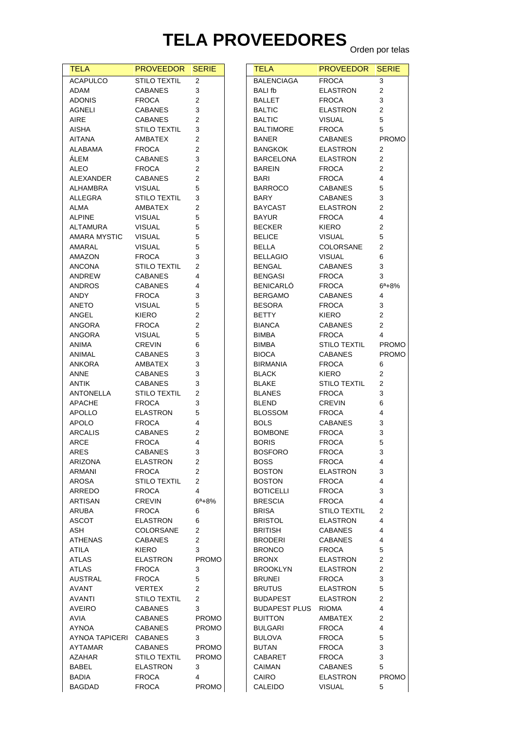## **TELA PROVEEDORES** Orden por telas

| <b>TELA</b>     | <b>PROVEEDOR</b>    | <b>SERIE</b>            | <b>TELA</b>          | PR <sub>(</sub>           |
|-----------------|---------------------|-------------------------|----------------------|---------------------------|
| <b>ACAPULCO</b> | <b>STILO TEXTIL</b> | 2                       | <b>BALENCIAGA</b>    | <b>FRC</b>                |
| <b>ADAM</b>     | <b>CABANES</b>      | 3                       | <b>BALI</b> fb       | <b>ELA</b>                |
| <b>ADONIS</b>   | <b>FROCA</b>        | 2                       | BALLET               | <b>FRC</b>                |
| AGNELI          | <b>CABANES</b>      | 3                       | <b>BALTIC</b>        | <b>ELA</b>                |
| AIRE            | <b>CABANES</b>      | 2                       | <b>BALTIC</b>        | <b>VISI</b>               |
| AISHA           | <b>STILO TEXTIL</b> | 3                       | <b>BALTIMORE</b>     | <b>FRC</b>                |
| <b>AITANA</b>   | AMBATEX             | 2                       | <b>BANER</b>         | CAB                       |
| ALABAMA         | <b>FROCA</b>        | $\overline{c}$          | <b>BANGKOK</b>       | <b>ELA</b>                |
| ÁLEM            | <b>CABANES</b>      | 3                       | <b>BARCELONA</b>     | <b>ELA</b>                |
| ALEO            | <b>FROCA</b>        | $\overline{2}$          | <b>BAREIN</b>        | <b>FRC</b>                |
| ALEXANDER       | <b>CABANES</b>      | $\overline{2}$          | BARI                 | <b>FRC</b>                |
| ALHAMBRA        | <b>VISUAL</b>       | 5                       | <b>BARROCO</b>       | CAB                       |
| ALLEGRA         | <b>STILO TEXTIL</b> | 3                       | <b>BARY</b>          | CAB                       |
| ALMA            | AMBATEX             | $\overline{2}$          | <b>BAYCAST</b>       | <b>ELA</b>                |
| <b>ALPINE</b>   | <b>VISUAL</b>       | 5                       | <b>BAYUR</b>         | <b>FRC</b>                |
| ALTAMURA        | <b>VISUAL</b>       | 5                       | <b>BECKER</b>        | KIEF                      |
| AMARA MYSTIC    | <b>VISUAL</b>       | 5                       | <b>BELICE</b>        | <b>VISI</b>               |
| AMARAL          | <b>VISUAL</b>       | 5                       | <b>BELLA</b>         | COL                       |
| AMAZON          | <b>FROCA</b>        | 3                       | <b>BELLAGIO</b>      | <b>VISI</b>               |
| <b>ANCONA</b>   | <b>STILO TEXTIL</b> | 2                       | <b>BENGAL</b>        | CAB                       |
| ANDREW          | <b>CABANES</b>      | 4                       | <b>BENGASI</b>       | <b>FRC</b>                |
| <b>ANDROS</b>   | <b>CABANES</b>      | 4                       | <b>BENICARLÓ</b>     | <b>FRC</b>                |
| ANDY            | <b>FROCA</b>        | 3                       | <b>BERGAMO</b>       | CAB                       |
| ANETO           | <b>VISUAL</b>       | 5                       | <b>BESORA</b>        | <b>FRC</b>                |
| ANGEL           | <b>KIERO</b>        | $\overline{c}$          | <b>BETTY</b>         | KIEF                      |
| ANGORA          | <b>FROCA</b>        | $\overline{c}$          | <b>BIANCA</b>        | CAB                       |
| ANGORA          | <b>VISUAL</b>       | 5                       | <b>BIMBA</b>         | <b>FRC</b>                |
| ANIMA           | CREVIN              | 6                       | <b>BIMBA</b>         | STIL                      |
| ANIMAL          | <b>CABANES</b>      | 3                       | <b>BIOCA</b>         | CAB                       |
| <b>ANKORA</b>   | AMBATEX             | 3                       | <b>BIRMANIA</b>      | <b>FRC</b>                |
| <b>ANNE</b>     | <b>CABANES</b>      | 3                       | <b>BLACK</b>         | KIEF                      |
| <b>ANTIK</b>    | <b>CABANES</b>      | 3                       | <b>BLAKE</b>         | STIL                      |
| ANTONELLA       | <b>STILO TEXTIL</b> | $\overline{c}$          | <b>BLANES</b>        | <b>FRC</b>                |
| <b>APACHE</b>   | <b>FROCA</b>        | 3                       | <b>BLEND</b>         | <b>CRE</b>                |
| APOLLO          | <b>ELASTRON</b>     | 5                       | <b>BLOSSOM</b>       | <b>FRC</b>                |
| <b>APOLO</b>    | <b>FROCA</b>        | 4                       | <b>BOLS</b>          | CAB                       |
| <b>ARCALIS</b>  | <b>CABANES</b>      | 2                       | <b>BOMBONE</b>       | <b>FRC</b>                |
| <b>ARCE</b>     | <b>FROCA</b>        | 4                       | <b>BORIS</b>         | <b>FRC</b>                |
| ARES            | CABANES             | З                       | <b>BOSFORO</b>       | <b>FRC</b>                |
| ARIZONA         | <b>ELASTRON</b>     | 2                       | <b>BOSS</b>          | FRC                       |
| ARMANI          | <b>FROCA</b>        | $\overline{\mathbf{c}}$ | <b>BOSTON</b>        | <b>ELA</b>                |
| <b>AROSA</b>    | <b>STILO TEXTIL</b> | 2                       | <b>BOSTON</b>        | <b>FRC</b>                |
| ARREDO          | <b>FROCA</b>        | 4                       | <b>BOTICELLI</b>     | FRC                       |
| ARTISAN         | <b>CREVIN</b>       | $6^{\circ}+8\%$         | <b>BRESCIA</b>       | FRC                       |
| ARUBA           | <b>FROCA</b>        | 6                       | <b>BRISA</b>         | STIL                      |
| <b>ASCOT</b>    | <b>ELASTRON</b>     | 6                       | <b>BRISTOL</b>       | <b>ELA</b>                |
| ASH             | <b>COLORSANE</b>    | 2                       | <b>BRITISH</b>       | CAB                       |
| ATHENAS         | <b>CABANES</b>      | $\overline{2}$          | <b>BRODERI</b>       | CAB                       |
| ATILA           | <b>KIERO</b>        | 3                       | <b>BRONCO</b>        | <b>FRC</b>                |
| <b>ATLAS</b>    | <b>ELASTRON</b>     | <b>PROMO</b>            | <b>BRONX</b>         | <b>ELA</b>                |
| <b>ATLAS</b>    | <b>FROCA</b>        | 3                       | <b>BROOKLYN</b>      | ELA                       |
| <b>AUSTRAL</b>  | <b>FROCA</b>        | 5                       | <b>BRUNEI</b>        | <b>FRC</b>                |
| AVANT           | <b>VERTEX</b>       | 2                       | <b>BRUTUS</b>        | <b>ELA</b>                |
| <b>AVANTI</b>   | <b>STILO TEXTIL</b> | 2                       | <b>BUDAPEST</b>      | <b>ELA</b><br><b>RIOI</b> |
| AVEIRO          | <b>CABANES</b>      | 3                       | <b>BUDAPEST PLUS</b> |                           |
| AVIA            | <b>CABANES</b>      | <b>PROMO</b>            | <b>BUITTON</b>       | AME                       |
| AYNOA           | <b>CABANES</b>      | <b>PROMO</b>            | <b>BULGARI</b>       | <b>FRC</b>                |
| AYNOA TAPICERI  | <b>CABANES</b>      | 3                       | <b>BULOVA</b>        | <b>FRC</b>                |
| AYTAMAR         | <b>CABANES</b>      | <b>PROMO</b>            | <b>BUTAN</b>         | FRC                       |
| <b>AZAHAR</b>   | <b>STILO TEXTIL</b> | <b>PROMO</b>            | <b>CABARET</b>       | FRC                       |
| <b>BABEL</b>    | <b>ELASTRON</b>     | 3                       | CAIMAN               | CAB<br><b>ELA</b>         |
| BADIA           | <b>FROCA</b>        | 4                       | CAIRO                |                           |
| BAGDAD          | <b>FROCA</b>        | <b>PROMO</b>            | CALEIDO              | <b>VISI</b>               |

| TELA                 | <b>PROVEEDOR</b>    | <b>SERIE</b>   |
|----------------------|---------------------|----------------|
| <b>BALENCIAGA</b>    | <b>FROCA</b>        | 3              |
| <b>BALI</b> fb       | <b>ELASTRON</b>     | $\overline{2}$ |
| BALLET               | <b>FROCA</b>        | 3              |
| <b>BALTIC</b>        | <b>ELASTRON</b>     | 2              |
| <b>BALTIC</b>        | <b>VISUAL</b>       | 5              |
| BALTIMORE            | <b>FROCA</b>        | 5              |
| BANER                | <b>CABANES</b>      | <b>PROMO</b>   |
| BANGKOK              | <b>ELASTRON</b>     | 2              |
| BARCELONA            | <b>ELASTRON</b>     | 2              |
| <b>BAREIN</b>        | <b>FROCA</b>        | $\overline{2}$ |
| BARI                 | <b>FROCA</b>        | 4              |
| <b>BARROCO</b>       | <b>CABANES</b>      | 5              |
| <b>BARY</b>          | <b>CABANES</b>      | 3              |
| <b>BAYCAST</b>       | <b>ELASTRON</b>     | 2              |
| <b>BAYUR</b>         | <b>FROCA</b>        | 4              |
| <b>BECKER</b>        | KIERO               | 2              |
| <b>BELICE</b>        | <b>VISUAL</b>       | 5              |
| BELLA                | COLORSANE           | 2              |
| <b>BELLAGIO</b>      | <b>VISUAL</b>       | 6              |
|                      |                     |                |
| <b>BENGAL</b>        | <b>CABANES</b>      | 3              |
| <b>BENGASI</b>       | <b>FROCA</b>        | 3              |
| <b>BENICARLO</b>     | <b>FROCA</b>        | $6^a + 8%$     |
| <b>BERGAMO</b>       | <b>CABANES</b>      | 4              |
| BESORA               | <b>FROCA</b>        | 3              |
| <b>BETTY</b>         | <b>KIERO</b>        | 2              |
| BIANCA               | <b>CABANES</b>      | 2              |
| <b>BIMBA</b>         | <b>FROCA</b>        | 4              |
| BIMBA                | <b>STILO TEXTIL</b> | <b>PROMO</b>   |
| <b>BIOCA</b>         | <b>CABANES</b>      | <b>PROMO</b>   |
| <b>BIRMANIA</b>      | <b>FROCA</b>        | 6              |
| BLACK                | <b>KIERO</b>        | 2              |
| <b>BLAKE</b>         | <b>STILO TEXTIL</b> | 2              |
| <b>BLANES</b>        | <b>FROCA</b>        | 3              |
| <b>BLEND</b>         | <b>CREVIN</b>       | 6              |
| <b>BLOSSOM</b>       | <b>FROCA</b>        | 4              |
| <b>BOLS</b>          | <b>CABANES</b>      | 3              |
| <b>BOMBONE</b>       | <b>FROCA</b>        | 3              |
| <b>BORIS</b>         | <b>FROCA</b>        | 5              |
| <b>BOSFORO</b>       | <b>FROCA</b>        | 3              |
| <b>BOSS</b>          | <b>FROCA</b>        | 4              |
| BOSTON               | <b>ELASTRON</b>     | 3              |
| <b>BOSTON</b>        | <b>FROCA</b>        | 4              |
| BOTICELLI            | <b>FROCA</b>        | 3              |
| <b>BRESCIA</b>       | <b>FROCA</b>        | 4              |
| <b>BRISA</b>         | <b>STILO TEXTIL</b> | 2              |
| <b>BRISTOL</b>       | <b>ELASTRON</b>     | 4              |
| <b>BRITISH</b>       | <b>CABANES</b>      | 4              |
| <b>BRODERI</b>       | <b>CABANES</b>      | 4              |
| <b>BRONCO</b>        | <b>FROCA</b>        | 5              |
| <b>BRONX</b>         | <b>ELASTRON</b>     | 2              |
| <b>BROOKLYN</b>      | <b>ELASTRON</b>     | 2              |
|                      |                     | 3              |
| <b>BRUNEI</b>        | <b>FROCA</b>        |                |
| <b>BRUTUS</b>        | <b>ELASTRON</b>     | 5              |
| <b>BUDAPEST</b>      | <b>ELASTRON</b>     | 2              |
| <b>BUDAPEST PLUS</b> | <b>RIOMA</b>        | 4              |
| <b>BUITTON</b>       | <b>AMBATEX</b>      | 2              |
| <b>BULGARI</b>       | <b>FROCA</b>        | 4              |
| <b>BULOVA</b>        | <b>FROCA</b>        | 5              |
| <b>BUTAN</b>         | <b>FROCA</b>        | 3              |
| CABARET              | <b>FROCA</b>        | 3              |
| CAIMAN               | <b>CABANES</b>      | 5              |
| CAIRO                | <b>ELASTRON</b>     | <b>PROMO</b>   |
| CALEIDO              | <b>VISUAL</b>       | 5              |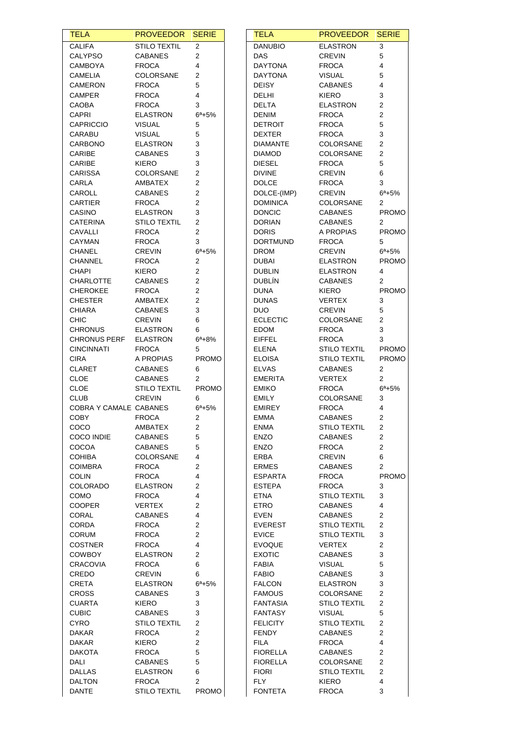| <b>TELA</b>                      | <b>PROVEEDOR SERIE</b>            |                         | <b>TELA</b>                     | <b>PROVEEDOR</b>                        | <b>SERIE</b>                     |
|----------------------------------|-----------------------------------|-------------------------|---------------------------------|-----------------------------------------|----------------------------------|
| <b>CALIFA</b>                    | <b>STILO TEXTIL</b>               | $\overline{c}$          | <b>DANUBIO</b>                  | <b>ELASTRON</b>                         | 3                                |
| <b>CALYPSO</b>                   | <b>CABANES</b>                    | 2                       | <b>DAS</b>                      | <b>CREVIN</b>                           | 5                                |
| CAMBOYA                          | <b>FROCA</b>                      | 4                       | <b>DAYTONA</b>                  | <b>FROCA</b>                            | 4                                |
| <b>CAMELIA</b>                   | COLORSANE                         | 2                       | <b>DAYTONA</b>                  | <b>VISUAL</b>                           | 5                                |
| CAMERON                          | <b>FROCA</b>                      | 5                       | <b>DEISY</b>                    | <b>CABANES</b>                          | 4                                |
| <b>CAMPER</b>                    | <b>FROCA</b>                      | 4                       | DELHI                           | <b>KIERO</b>                            | 3                                |
| CAOBA                            | <b>FROCA</b>                      | 3<br>$6^a + 5%$         | <b>DELTA</b>                    | <b>ELASTRON</b>                         | $\overline{c}$<br>$\overline{c}$ |
| <b>CAPRI</b><br><b>CAPRICCIO</b> | <b>ELASTRON</b><br><b>VISUAL</b>  | 5                       | <b>DENIM</b><br><b>DETROIT</b>  | <b>FROCA</b><br><b>FROCA</b>            | $\overline{5}$                   |
| CARABU                           | <b>VISUAL</b>                     | 5                       | <b>DEXTER</b>                   | <b>FROCA</b>                            | 3                                |
| <b>CARBONO</b>                   | <b>ELASTRON</b>                   | 3                       | <b>DIAMANTE</b>                 | COLORSANE                               | $\overline{a}$                   |
| CARIBE                           | <b>CABANES</b>                    | 3                       | <b>DIAMOD</b>                   | COLORSANE                               | $\overline{2}$                   |
| CARIBE                           | KIERO                             | 3                       | <b>DIESEL</b>                   | <b>FROCA</b>                            | 5                                |
| <b>CARISSA</b>                   | COLORSANE                         | 2                       | <b>DIVINE</b>                   | <b>CREVIN</b>                           | 6                                |
| CARLA                            | AMBATEX                           | 2                       | <b>DOLCE</b>                    | <b>FROCA</b>                            | 3                                |
| CAROLL                           | <b>CABANES</b>                    | 2                       | DOLCE-(IMP)                     | <b>CREVIN</b>                           | $6^a + 5%$                       |
| CARTIER                          | <b>FROCA</b>                      | 2                       | <b>DOMINICA</b>                 | COLORSANE                               | $\overline{2}$                   |
| CASINO                           | ELASTRON                          | 3                       | <b>DONCIC</b>                   | <b>CABANES</b>                          | <b>PROMO</b>                     |
| <b>CATERINA</b>                  | <b>STILO TEXTIL</b>               | $\overline{c}$          | <b>DORIAN</b>                   | <b>CABANES</b>                          | $\mathbf{2}^{\prime}$            |
| <b>CAVALLI</b>                   | <b>FROCA</b>                      | 2                       | <b>DORIS</b>                    | A PROPIAS                               | <b>PROMO</b>                     |
| CAYMAN<br><b>CHANEL</b>          | <b>FROCA</b><br><b>CREVIN</b>     | 3<br>$6^a + 5%$         | <b>DORTMUND</b><br><b>DROM</b>  | <b>FROCA</b><br><b>CREVIN</b>           | 5<br>$6^a + 5%$                  |
| CHANNEL                          | <b>FROCA</b>                      | 2                       | <b>DUBAI</b>                    | <b>ELASTRON</b>                         | <b>PROMO</b>                     |
| <b>CHAPI</b>                     | KIERO                             | $\overline{\mathbf{c}}$ | <b>DUBLIN</b>                   | <b>ELASTRON</b>                         | 4                                |
| <b>CHARLOTTE</b>                 | <b>CABANES</b>                    | 2                       | <b>DUBLÍN</b>                   | CABANES                                 | $\overline{2}$                   |
| <b>CHEROKEE</b>                  | <b>FROCA</b>                      | 2                       | <b>DUNA</b>                     | <b>KIERO</b>                            | <b>PROMO</b>                     |
| <b>CHESTER</b>                   | AMBATEX                           | 2                       | <b>DUNAS</b>                    | <b>VERTEX</b>                           | 3                                |
| <b>CHIARA</b>                    | <b>CABANES</b>                    | 3                       | <b>DUO</b>                      | <b>CREVIN</b>                           | 5                                |
| <b>CHIC</b>                      | <b>CREVIN</b>                     | 6                       | <b>ECLECTIC</b>                 | COLORSANE                               | 2                                |
| <b>CHRONUS</b>                   | <b>ELASTRON</b>                   | 6                       | EDOM                            | <b>FROCA</b>                            | 3                                |
| <b>CHRONUS PERF</b>              | <b>ELASTRON</b>                   | $6^a + 8%$              | <b>EIFFEL</b>                   | <b>FROCA</b>                            | 3                                |
| <b>CINCINNATI</b>                | <b>FROCA</b>                      | 5                       | <b>ELENA</b>                    | <b>STILO TEXTIL</b>                     | <b>PROMO</b>                     |
| <b>CIRA</b>                      | A PROPIAS                         | PROMO                   | <b>ELOISA</b>                   | <b>STILO TEXTIL</b>                     | <b>PROMO</b>                     |
| <b>CLARET</b><br><b>CLOE</b>     | <b>CABANES</b><br><b>CABANES</b>  | 6<br>$\overline{2}$     | <b>ELVAS</b><br><b>EMERITA</b>  | <b>CABANES</b><br><b>VERTEX</b>         | $\overline{a}$<br>$\overline{2}$ |
| <b>CLOE</b>                      | <b>STILO TEXTIL</b>               | <b>PROMO</b>            | <b>EMIKO</b>                    | <b>FROCA</b>                            | $6^a + 5%$                       |
| <b>CLUB</b>                      | <b>CREVIN</b>                     | 6                       | <b>EMILY</b>                    | COLORSANE                               | 3                                |
| COBRA Y CAMALE CABANES           |                                   | $6^{\circ} + 5\%$       | <b>EMIREY</b>                   | <b>FROCA</b>                            | 4                                |
| COBY                             | FROCA                             | 2                       | EMMA                            | <b>CABANES</b>                          | 2                                |
| <b>COCO</b>                      | AMBATEX                           | 2                       | <b>ENMA</b>                     | <b>STILO TEXTIL</b>                     | $\overline{2}$                   |
| COCO INDIE                       | <b>CABANES</b>                    | 5                       | <b>ENZO</b>                     | <b>CABANES</b>                          | $\overline{2}$                   |
| <b>COCOA</b>                     | <b>CABANES</b>                    | 5                       | <b>ENZO</b>                     | <b>FROCA</b>                            | $\overline{c}$                   |
| <b>COHIBA</b>                    | COLORSANE                         | 4                       | ERBA                            | <b>CREVIN</b>                           | 6                                |
| <b>COIMBRA</b>                   | <b>FROCA</b>                      | 2                       | <b>ERMES</b>                    | <b>CABANES</b>                          | $\overline{2}$                   |
| <b>COLIN</b>                     | <b>FROCA</b>                      | 4                       | ESPARTA                         | <b>FROCA</b>                            | <b>PROMO</b>                     |
| <b>COLORADO</b>                  | <b>ELASTRON</b>                   | 2                       | <b>ESTEPA</b>                   | <b>FROCA</b>                            | 3                                |
| <b>COMO</b>                      | <b>FROCA</b>                      | 4                       | <b>ETNA</b>                     | <b>STILO TEXTIL</b>                     | 3                                |
| <b>COOPER</b><br>CORAL           | <b>VERTEX</b>                     | 2<br>4                  | <b>ETRO</b>                     | <b>CABANES</b>                          | 4<br>$\overline{2}$              |
| <b>CORDA</b>                     | <b>CABANES</b><br><b>FROCA</b>    | 2                       | EVEN<br><b>EVEREST</b>          | <b>CABANES</b><br><b>STILO TEXTIL</b>   | $\overline{2}$                   |
| <b>CORUM</b>                     | <b>FROCA</b>                      | 2                       | <b>EVICE</b>                    | <b>STILO TEXTIL</b>                     | 3                                |
| <b>COSTNER</b>                   | <b>FROCA</b>                      | 4                       | <b>EVOQUE</b>                   | <b>VERTEX</b>                           | $\overline{c}$                   |
| <b>COWBOY</b>                    | <b>ELASTRON</b>                   | 2                       | <b>EXOTIC</b>                   | <b>CABANES</b>                          | 3                                |
| <b>CRACOVIA</b>                  | <b>FROCA</b>                      | 6                       | FABIA                           | <b>VISUAL</b>                           | 5                                |
| CREDO                            | <b>CREVIN</b>                     | 6                       | <b>FABIO</b>                    | <b>CABANES</b>                          | 3                                |
| <b>CRETA</b>                     | <b>ELASTRON</b>                   | $6^a + 5%$              | <b>FALCON</b>                   | <b>ELASTRON</b>                         | 3                                |
| <b>CROSS</b>                     | <b>CABANES</b>                    | 3                       | <b>FAMOUS</b>                   | COLORSANE                               | $\overline{2}$                   |
| <b>CUARTA</b>                    | KIERO                             | 3                       | <b>FANTASIA</b>                 | <b>STILO TEXTIL</b>                     | $\overline{c}$                   |
| <b>CUBIC</b>                     | <b>CABANES</b>                    | 3                       | <b>FANTASY</b>                  | <b>VISUAL</b>                           | 5                                |
| <b>CYRO</b>                      | <b>STILO TEXTIL</b>               | 2                       | <b>FELICITY</b>                 | <b>STILO TEXTIL</b>                     | $\overline{c}$                   |
| <b>DAKAR</b>                     | <b>FROCA</b>                      | 2                       | <b>FENDY</b>                    | <b>CABANES</b>                          | 2                                |
| <b>DAKAR</b>                     | KIERO                             | 2                       | <b>FILA</b>                     | <b>FROCA</b>                            | 4                                |
| <b>DAKOTA</b>                    | <b>FROCA</b>                      | 5                       | <b>FIORELLA</b>                 | <b>CABANES</b>                          | 2                                |
| DALI<br><b>DALLAS</b>            | <b>CABANES</b><br><b>ELASTRON</b> | 5<br>6                  | <b>FIORELLA</b><br><b>FIORI</b> | <b>COLORSANE</b><br><b>STILO TEXTIL</b> | 2<br>$\overline{c}$              |
| <b>DALTON</b>                    | <b>FROCA</b>                      | 2                       | <b>FLY</b>                      | <b>KIERO</b>                            | 4                                |
| <b>DANTE</b>                     | <b>STILO TEXTIL</b>               | <b>PROMO</b>            | <b>FONTETA</b>                  | <b>FROCA</b>                            | 3                                |
|                                  |                                   |                         |                                 |                                         |                                  |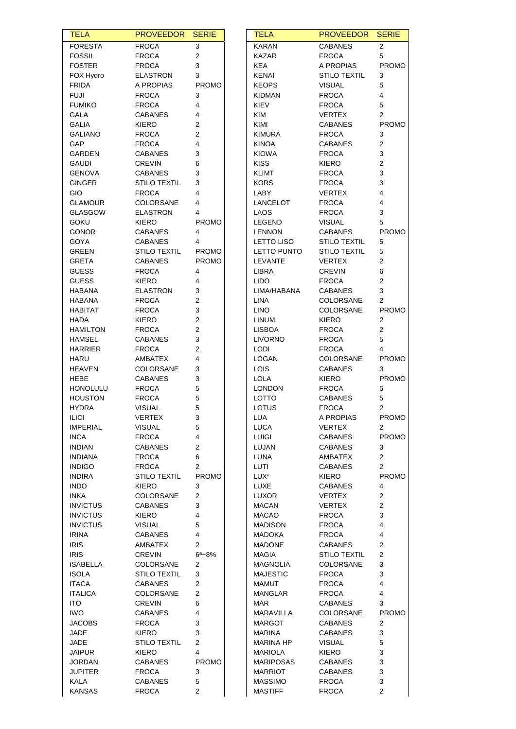| <b>TELA</b>                      | <b>PROVEEDOR</b>                    | <b>SERIE</b>            | <b>TELA</b>                      | <b>PROVEEDOR</b>             | <b>SERIE</b>            |
|----------------------------------|-------------------------------------|-------------------------|----------------------------------|------------------------------|-------------------------|
| <b>FORESTA</b>                   | <b>FROCA</b>                        | 3                       | <b>KARAN</b>                     | <b>CABANES</b>               | 2                       |
| <b>FOSSIL</b>                    | <b>FROCA</b>                        | $\overline{c}$          | <b>KAZAR</b>                     | <b>FROCA</b>                 | 5                       |
| <b>FOSTER</b>                    | <b>FROCA</b>                        | 3                       | <b>KEA</b>                       | A PROPIAS                    | <b>PROMO</b>            |
| FOX Hydro                        | <b>ELASTRON</b>                     | 3                       | <b>KENAI</b>                     | <b>STILO TEXTIL</b>          | 3                       |
| <b>FRIDA</b>                     | A PROPIAS                           | <b>PROMO</b>            | <b>KEOPS</b>                     | <b>VISUAL</b>                | 5                       |
| <b>FUJI</b>                      | <b>FROCA</b>                        | 3                       | <b>KIDMAN</b>                    | <b>FROCA</b>                 | 4                       |
| <b>FUMIKO</b>                    | <b>FROCA</b>                        | 4                       | KIEV                             | <b>FROCA</b>                 | 5                       |
| GALA                             | <b>CABANES</b>                      | 4                       | <b>KIM</b>                       | <b>VERTEX</b>                | $\overline{2}$          |
| <b>GALIA</b>                     | <b>KIERO</b>                        | 2                       | KIMI                             | <b>CABANES</b>               | <b>PROMO</b>            |
| <b>GALIANO</b>                   | <b>FROCA</b>                        | 2                       | <b>KIMURA</b>                    | <b>FROCA</b>                 | 3                       |
| <b>GAP</b>                       | <b>FROCA</b>                        | 4                       | <b>KINOA</b>                     | <b>CABANES</b>               | 2                       |
| GARDEN                           | <b>CABANES</b>                      | 3                       | <b>KIOWA</b>                     | <b>FROCA</b>                 | 3                       |
| <b>GAUDI</b>                     | <b>CREVIN</b>                       | 6                       | <b>KISS</b>                      | <b>KIERO</b>                 | $\overline{\mathbf{c}}$ |
| <b>GENOVA</b>                    | <b>CABANES</b>                      | 3                       | KLIMT                            | <b>FROCA</b>                 | 3                       |
| <b>GINGER</b>                    | <b>STILO TEXTIL</b>                 | 3                       | <b>KORS</b>                      | <b>FROCA</b>                 | 3                       |
| GIO                              | <b>FROCA</b>                        | 4                       | LABY                             | <b>VERTEX</b>                | 4<br>4                  |
| <b>GLAMOUR</b><br><b>GLASGOW</b> | <b>COLORSANE</b><br><b>ELASTRON</b> | 4<br>4                  | LANCELOT<br><b>LAOS</b>          | <b>FROCA</b><br><b>FROCA</b> | 3                       |
| <b>GOKU</b>                      | KIERO                               | <b>PROMO</b>            | LEGEND                           | <b>VISUAL</b>                | 5                       |
| <b>GONOR</b>                     | <b>CABANES</b>                      | 4                       | <b>LENNON</b>                    | <b>CABANES</b>               | <b>PROMO</b>            |
| GOYA                             | <b>CABANES</b>                      | 4                       | LETTO LISO                       | <b>STILO TEXTIL</b>          | 5                       |
| GREEN                            | <b>STILO TEXTIL</b>                 | <b>PROMO</b>            | LETTO PUNTO                      | <b>STILO TEXTIL</b>          | 5                       |
| <b>GRETA</b>                     | <b>CABANES</b>                      | <b>PROMO</b>            | LEVANTE                          | <b>VERTEX</b>                | 2                       |
| <b>GUESS</b>                     | <b>FROCA</b>                        | 4                       | LIBRA                            | <b>CREVIN</b>                | 6                       |
| <b>GUESS</b>                     | <b>KIERO</b>                        | 4                       | <b>LIDO</b>                      | <b>FROCA</b>                 | 2                       |
| <b>HABANA</b>                    | <b>ELASTRON</b>                     | 3                       | LIMA/HABANA                      | <b>CABANES</b>               | 3                       |
| <b>HABANA</b>                    | <b>FROCA</b>                        | 2                       | LINA                             | COLORSANE                    | $\overline{2}$          |
| HABITAT                          | <b>FROCA</b>                        | 3                       | <b>LINO</b>                      | <b>COLORSANE</b>             | <b>PROMO</b>            |
| <b>HADA</b>                      | KIERO                               | $\sqrt{2}$              | <b>LINUM</b>                     | <b>KIERO</b>                 | $\overline{2}$          |
| <b>HAMILTON</b>                  | <b>FROCA</b>                        | $\overline{\mathbf{c}}$ | <b>LISBOA</b>                    | <b>FROCA</b>                 | 2                       |
| <b>HAMSEL</b>                    | <b>CABANES</b>                      | 3                       | <b>LIVORNO</b>                   | <b>FROCA</b>                 | 5                       |
| <b>HARRIER</b>                   | <b>FROCA</b>                        | 2                       | LODI                             | <b>FROCA</b>                 | 4                       |
| <b>HARU</b>                      | AMBATEX                             | 4                       | LOGAN                            | COLORSANE                    | <b>PROMO</b>            |
| <b>HEAVEN</b>                    | <b>COLORSANE</b>                    | 3                       | LOIS                             | <b>CABANES</b>               | 3                       |
| HEBE                             | <b>CABANES</b>                      | 3                       | <b>LOLA</b>                      | <b>KIERO</b>                 | <b>PROMO</b>            |
| <b>HONOLULU</b>                  | <b>FROCA</b>                        | 5                       | <b>LONDON</b>                    | <b>FROCA</b>                 | 5                       |
| <b>HOUSTON</b>                   | <b>FROCA</b>                        | 5                       | <b>LOTTO</b>                     | CABANES                      | 5                       |
| <b>HYDRA</b>                     | <b>VISUAL</b>                       | 5                       | <b>LOTUS</b>                     | <b>FROCA</b>                 | 2                       |
| <b>ILICI</b>                     | VERTEX                              | 3                       | LUA                              | A PROPIAS                    | PROMO                   |
| <b>IMPERIAL</b>                  | <b>VISUAL</b>                       | 5                       | <b>LUCA</b>                      | VERTEX                       | $\overline{2}$          |
| <b>INCA</b>                      | <b>FROCA</b>                        | 4                       | <b>LUIGI</b>                     | <b>CABANES</b>               | <b>PROMO</b>            |
| <b>INDIAN</b>                    | <b>CABANES</b>                      | 2                       | LUJAN                            | <b>CABANES</b>               | 3                       |
| <b>INDIANA</b>                   | <b>FROCA</b>                        | 6                       | LUNA                             | AMBATEX                      | $\overline{2}$          |
| <b>INDIGO</b>                    | <b>FROCA</b>                        | $\overline{2}$          | LUTI                             | <b>CABANES</b>               | 2                       |
| <b>INDIRA</b>                    | <b>STILO TEXTIL</b>                 | <b>PROMO</b>            | LUX*                             | <b>KIERO</b>                 | <b>PROMO</b>            |
| <b>INDO</b>                      | <b>KIERO</b>                        | 3                       | LUXE                             | <b>CABANES</b>               | 4                       |
| <b>INKA</b>                      | COLORSANE                           | $\overline{2}$          | LUXOR                            | VERTEX                       | 2                       |
| <b>INVICTUS</b>                  | <b>CABANES</b>                      | 3                       | <b>MACAN</b>                     | VERTEX                       | 2                       |
| <b>INVICTUS</b>                  | KIERO                               | 4                       | <b>MACAO</b>                     | <b>FROCA</b>                 | 3                       |
| <b>INVICTUS</b>                  | <b>VISUAL</b>                       | 5                       | <b>MADISON</b>                   | <b>FROCA</b>                 | 4                       |
| <b>IRINA</b>                     | <b>CABANES</b>                      | 4                       | MADOKA                           | <b>FROCA</b>                 | 4                       |
| <b>IRIS</b>                      | AMBATEX                             | 2                       | <b>MADONE</b>                    | <b>CABANES</b>               | 2                       |
| <b>IRIS</b>                      | <b>CREVIN</b>                       | $6^{\circ}+8\%$         | MAGIA                            | <b>STILO TEXTIL</b>          | 2                       |
| <b>ISABELLA</b>                  | COLORSANE                           | 2                       | <b>MAGNOLIA</b>                  | COLORSANE                    | 3                       |
| <b>ISOLA</b>                     | <b>STILO TEXTIL</b>                 | $\mathbf{3}$            | <b>MAJESTIC</b>                  | <b>FROCA</b>                 | 3                       |
| <b>ITACA</b>                     | <b>CABANES</b>                      | 2                       | <b>MAMUT</b>                     | <b>FROCA</b>                 | 4                       |
| <b>ITALICA</b>                   | COLORSANE                           | $\overline{2}$          | <b>MANGLAR</b>                   | <b>FROCA</b>                 | 4                       |
| <b>ITO</b>                       | <b>CREVIN</b>                       | 6                       | MAR                              | <b>CABANES</b>               | 3                       |
| <b>IWO</b>                       | <b>CABANES</b>                      | 4                       | MARAVILLA                        | COLORSANE                    | <b>PROMO</b>            |
| <b>JACOBS</b>                    | <b>FROCA</b>                        | 3                       | MARGOT                           | <b>CABANES</b>               | 2                       |
| JADE                             | <b>KIERO</b>                        | 3                       | <b>MARINA</b>                    | <b>CABANES</b>               | 3                       |
| JADE                             | <b>STILO TEXTIL</b>                 | $\overline{2}$          | <b>MARINA HP</b>                 | <b>VISUAL</b>                | 5                       |
| <b>JAIPUR</b>                    | <b>KIERO</b>                        | 4                       | <b>MARIOLA</b>                   | <b>KIERO</b>                 | 3                       |
| <b>JORDAN</b>                    | <b>CABANES</b>                      | <b>PROMO</b>            | <b>MARIPOSAS</b>                 | <b>CABANES</b>               | 3                       |
| <b>JUPITER</b>                   | <b>FROCA</b>                        | 3                       | <b>MARRIOT</b>                   | <b>CABANES</b>               | 3                       |
| <b>KALA</b><br><b>KANSAS</b>     | <b>CABANES</b><br><b>FROCA</b>      | $\,$ 5 $\,$<br>2        | <b>MASSIMO</b><br><b>MASTIFF</b> | <b>FROCA</b><br><b>FROCA</b> | 3<br>2                  |
|                                  |                                     |                         |                                  |                              |                         |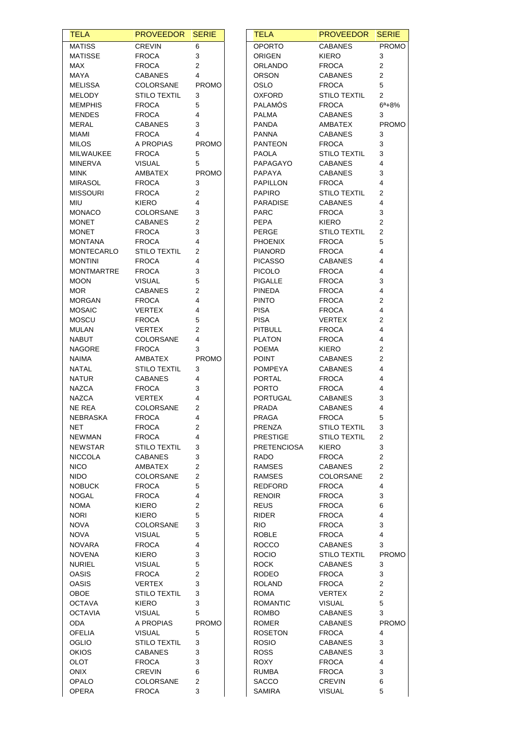| <b>TELA</b>                   | <b>PROVEEDOR SERIE</b>        |                         | <b>TELA</b>                | <b>PROVEEDOR</b>              | <b>SERIE</b>        |
|-------------------------------|-------------------------------|-------------------------|----------------------------|-------------------------------|---------------------|
| <b>MATISS</b>                 | <b>CREVIN</b>                 | 6                       | <b>OPORTO</b>              | <b>CABANES</b>                | <b>PROMO</b>        |
| <b>MATISSE</b>                | <b>FROCA</b>                  | 3                       | <b>ORIGEN</b>              | <b>KIERO</b>                  | 3                   |
| MAX                           | <b>FROCA</b>                  | $\overline{c}$          | <b>ORLANDO</b>             | <b>FROCA</b>                  | $\overline{c}$      |
| <b>MAYA</b>                   | <b>CABANES</b>                | $\overline{4}$          | <b>ORSON</b>               | <b>CABANES</b>                | $\overline{c}$      |
| MELISSA                       | COLORSANE                     | <b>PROMO</b>            | OSLO                       | <b>FROCA</b>                  | $\overline{5}$      |
| MELODY                        | <b>STILO TEXTIL</b>           | 3                       | <b>OXFORD</b>              | <b>STILO TEXTIL</b>           | $\overline{2}$      |
| <b>MEMPHIS</b>                | <b>FROCA</b>                  | 5                       | <b>PALAMOS</b>             | <b>FROCA</b>                  | $6^a + 8%$          |
| <b>MENDES</b>                 | <b>FROCA</b>                  | 4                       | <b>PALMA</b>               | <b>CABANES</b>                | 3                   |
| <b>MERAL</b>                  | <b>CABANES</b>                | 3                       | <b>PANDA</b>               | AMBATEX                       | <b>PROMO</b>        |
| MIAMI                         | <b>FROCA</b>                  | 4                       | <b>PANNA</b>               | <b>CABANES</b>                | 3                   |
| <b>MILOS</b>                  | A PROPIAS                     | <b>PROMO</b>            | <b>PANTEON</b>             | <b>FROCA</b>                  | 3                   |
| MILWAUKEE                     | <b>FROCA</b>                  | 5                       | <b>PAOLA</b>               | <b>STILO TEXTIL</b>           | 3                   |
| <b>MINERVA</b>                | <b>VISUAL</b>                 | 5                       | PAPAGAYO                   | <b>CABANES</b>                | 4                   |
| <b>MINK</b>                   | AMBATEX                       | <b>PROMO</b>            | PAPAYA                     | <b>CABANES</b>                | 3                   |
| <b>MIRASOL</b>                | <b>FROCA</b>                  | 3                       | <b>PAPILLON</b>            | <b>FROCA</b>                  | 4                   |
| <b>MISSOURI</b>               | <b>FROCA</b>                  | $\overline{2}$          | <b>PAPIRO</b>              | <b>STILO TEXTIL</b>           | 2                   |
| MIU                           | <b>KIERO</b>                  | 4                       | <b>PARADISE</b>            | <b>CABANES</b>                | 4                   |
| <b>MONACO</b>                 | COLORSANE                     | 3                       | <b>PARC</b>                | <b>FROCA</b>                  | 3                   |
| <b>MONET</b>                  | <b>CABANES</b>                | $\overline{c}$          | PEPA                       | <b>KIERO</b>                  | $\overline{c}$      |
| <b>MONET</b>                  | <b>FROCA</b>                  | 3                       | PERGE                      | <b>STILO TEXTIL</b>           | $\overline{2}$      |
| <b>MONTANA</b>                | <b>FROCA</b>                  | 4                       | <b>PHOENIX</b>             | <b>FROCA</b>                  | 5                   |
| <b>MONTECARLO</b>             | <b>STILO TEXTIL</b>           | 2                       | <b>PIANORD</b>             | <b>FROCA</b>                  | 4                   |
| <b>MONTINI</b>                | <b>FROCA</b>                  | 4                       | <b>PICASSO</b>             | <b>CABANES</b>                | 4                   |
| <b>MONTMARTRE</b>             | <b>FROCA</b>                  | 3                       | <b>PICOLO</b>              | <b>FROCA</b>                  | 4                   |
| <b>MOON</b>                   | <b>VISUAL</b>                 | 5                       | PIGALLE                    | <b>FROCA</b>                  | 3<br>4              |
| MOR.                          | <b>CABANES</b>                | 2<br>4                  | <b>PINEDA</b>              | <b>FROCA</b>                  |                     |
| <b>MORGAN</b>                 | <b>FROCA</b>                  |                         | <b>PINTO</b>               | <b>FROCA</b>                  | $\overline{c}$      |
| <b>MOSAIC</b><br><b>MOSCU</b> | <b>VERTEX</b><br><b>FROCA</b> | 4<br>5                  | <b>PISA</b><br><b>PISA</b> | <b>FROCA</b><br><b>VERTEX</b> | 4<br>$\overline{2}$ |
| <b>MULAN</b>                  | <b>VERTEX</b>                 | $\overline{\mathbf{c}}$ | <b>PITBULL</b>             | <b>FROCA</b>                  | 4                   |
| <b>NABUT</b>                  | COLORSANE                     | 4                       | <b>PLATON</b>              | <b>FROCA</b>                  | 4                   |
| <b>NAGORE</b>                 | <b>FROCA</b>                  | 3                       | <b>POEMA</b>               | KIERO                         | 2                   |
| <b>NAIMA</b>                  | AMBATEX                       | <b>PROMO</b>            | <b>POINT</b>               | <b>CABANES</b>                | $\overline{2}$      |
| NATAL                         | <b>STILO TEXTIL</b>           | 3                       | <b>POMPEYA</b>             | <b>CABANES</b>                | 4                   |
| <b>NATUR</b>                  | <b>CABANES</b>                | 4                       | PORTAL                     | <b>FROCA</b>                  | 4                   |
| <b>NAZCA</b>                  | <b>FROCA</b>                  | 3                       | <b>PORTO</b>               | <b>FROCA</b>                  | 4                   |
| <b>NAZCA</b>                  | <b>VERTEX</b>                 | 4                       | PORTUGAL                   | <b>CABANES</b>                | 3                   |
| NE REA                        | <b>COLORSANE</b>              | 2                       | PRADA                      | <b>CABANES</b>                | 4                   |
| NEBRASKA                      | <b>FROCA</b>                  | 4                       | PRAGA                      | <b>FROCA</b>                  | 5                   |
| NET                           | <b>FROCA</b>                  | 2                       | PRENZA                     | <b>STILO TEXTIL</b>           | 3                   |
| <b>NEWMAN</b>                 | <b>FROCA</b>                  | 4                       | <b>PRESTIGE</b>            | <b>STILO TEXTIL</b>           | $\overline{c}$      |
| <b>NEWSTAR</b>                | <b>STILO TEXTIL</b>           | 3                       | <b>PRETENCIOSA</b>         | <b>KIERO</b>                  | 3                   |
| <b>NICCOLA</b>                | <b>CABANES</b>                | 3                       | RADO                       | <b>FROCA</b>                  | 2                   |
| <b>NICO</b>                   | AMBATEX                       | 2                       | <b>RAMSES</b>              | <b>CABANES</b>                | 2                   |
| <b>NIDO</b>                   | COLORSANE                     | $\overline{2}$          | <b>RAMSES</b>              | COLORSANE                     | 2                   |
| <b>NOBUCK</b>                 | <b>FROCA</b>                  | 5                       | REDFORD                    | <b>FROCA</b>                  | 4                   |
| <b>NOGAL</b>                  | <b>FROCA</b>                  | 4                       | <b>RENOIR</b>              | <b>FROCA</b>                  | 3                   |
| <b>NOMA</b>                   | <b>KIERO</b>                  | 2                       | <b>REUS</b>                | <b>FROCA</b>                  | 6                   |
| <b>NORI</b>                   | KIERO                         | 5                       | <b>RIDER</b>               | <b>FROCA</b>                  | 4                   |
| <b>NOVA</b>                   | COLORSANE                     | 3                       | <b>RIO</b>                 | <b>FROCA</b>                  | 3                   |
| <b>NOVA</b>                   | <b>VISUAL</b>                 | 5                       | <b>ROBLE</b>               | <b>FROCA</b>                  | 4                   |
| <b>NOVARA</b>                 | <b>FROCA</b>                  | 4                       | <b>ROCCO</b>               | <b>CABANES</b>                | 3                   |
| <b>NOVENA</b>                 | KIERO                         | 3                       | <b>ROCIO</b>               | <b>STILO TEXTIL</b>           | <b>PROMO</b>        |
| <b>NURIEL</b>                 | <b>VISUAL</b>                 | 5                       | <b>ROCK</b>                | <b>CABANES</b>                | 3                   |
| <b>OASIS</b>                  | <b>FROCA</b>                  | $\overline{\mathbf{c}}$ | <b>RODEO</b>               | <b>FROCA</b>                  | 3                   |
| <b>OASIS</b>                  | <b>VERTEX</b>                 | 3                       | ROLAND                     | <b>FROCA</b>                  | 2                   |
| OBOE                          | <b>STILO TEXTIL</b>           | 3                       | ROMA                       | VERTEX                        | $\overline{c}$      |
| <b>OCTAVA</b>                 | KIERO                         | 3                       | <b>ROMANTIC</b>            | <b>VISUAL</b>                 | 5                   |
| <b>OCTAVIA</b>                | <b>VISUAL</b>                 | 5                       | <b>ROMBO</b>               | <b>CABANES</b>                | 3                   |
| <b>ODA</b>                    | A PROPIAS                     | <b>PROMO</b>            | <b>ROMER</b>               | <b>CABANES</b>                | <b>PROMO</b>        |
| <b>OFELIA</b>                 | <b>VISUAL</b>                 | 5                       | <b>ROSETON</b>             | <b>FROCA</b>                  | 4                   |
| OGLIO                         | <b>STILO TEXTIL</b>           | 3                       | <b>ROSIO</b>               | <b>CABANES</b>                | 3                   |
| <b>OKIOS</b>                  | <b>CABANES</b>                | 3                       | <b>ROSS</b>                | <b>CABANES</b>                | 3                   |
| OLOT                          | <b>FROCA</b>                  | 3                       | <b>ROXY</b>                | <b>FROCA</b>                  | 4                   |
| <b>ONIX</b>                   | <b>CREVIN</b>                 | 6                       | <b>RUMBA</b>               | <b>FROCA</b>                  | 3                   |
| OPALO                         | COLORSANE                     | 2                       | <b>SACCO</b>               | <b>CREVIN</b>                 | 6                   |
|                               |                               |                         |                            |                               |                     |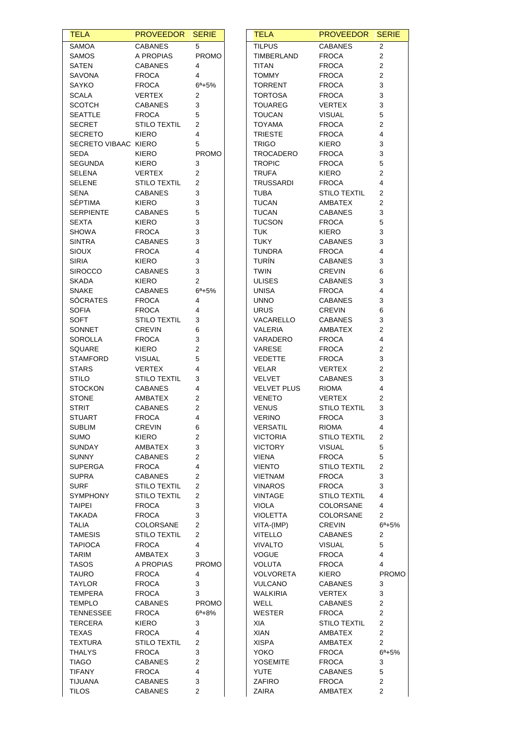| <b>TELA</b>          | <b>PROVEEDOR</b>    | <b>SERIE</b>            | <b>TELA</b>        | <b>PROVEEDOR</b>    | <b>SERIE</b>          |
|----------------------|---------------------|-------------------------|--------------------|---------------------|-----------------------|
| <b>SAMOA</b>         | <b>CABANES</b>      | 5                       | <b>TILPUS</b>      | <b>CABANES</b>      | $\overline{2}$        |
| SAMOS                | A PROPIAS           | <b>PROMO</b>            | TIMBERLAND         | <b>FROCA</b>        | $\overline{2}$        |
| SATEN                | <b>CABANES</b>      | 4                       | TITAN              | <b>FROCA</b>        | 2                     |
| SAVONA               | <b>FROCA</b>        | 4                       | <b>TOMMY</b>       | <b>FROCA</b>        | 2                     |
| SAYKO                | <b>FROCA</b>        | $6^a + 5%$              | <b>TORRENT</b>     | <b>FROCA</b>        | 3                     |
| <b>SCALA</b>         | VERTEX              | 2                       | <b>TORTOSA</b>     | <b>FROCA</b>        | 3                     |
| <b>SCOTCH</b>        | <b>CABANES</b>      | 3                       | <b>TOUAREG</b>     | <b>VERTEX</b>       | 3                     |
| <b>SEATTLE</b>       | <b>FROCA</b>        | 5                       | <b>TOUCAN</b>      | <b>VISUAL</b>       | 5                     |
| <b>SECRET</b>        | <b>STILO TEXTIL</b> | 2                       | <b>TOYAMA</b>      | <b>FROCA</b>        | 2                     |
| <b>SECRETO</b>       | KIERO               | 4                       | <b>TRIESTE</b>     | <b>FROCA</b>        | 4                     |
| SECRETO VIBAAC KIERO |                     | 5                       | <b>TRIGO</b>       | KIERO               | 3                     |
| SEDA                 | KIERO               | <b>PROMO</b>            | TROCADERO          | <b>FROCA</b>        | 3                     |
| <b>SEGUNDA</b>       | <b>KIERO</b>        | 3                       | <b>TROPIC</b>      | <b>FROCA</b>        | 5                     |
| <b>SELENA</b>        | <b>VERTEX</b>       | $\overline{2}$          | <b>TRUFA</b>       | KIERO               | $\overline{c}$        |
| <b>SELENE</b>        | <b>STILO TEXTIL</b> | 2                       | <b>TRUSSARDI</b>   | <b>FROCA</b>        | 4                     |
| SENA                 | <b>CABANES</b>      | 3                       | TUBA               | <b>STILO TEXTIL</b> | 2                     |
| <b>SÉPTIMA</b>       | KIERO               | 3                       | <b>TUCAN</b>       | AMBATEX             | 2                     |
| <b>SERPIENTE</b>     | <b>CABANES</b>      | 5                       | <b>TUCAN</b>       | <b>CABANES</b>      | 3                     |
| <b>SEXTA</b>         | <b>KIERO</b>        | 3                       | <b>TUCSON</b>      | <b>FROCA</b>        | 5                     |
| <b>SHOWA</b>         | <b>FROCA</b>        | 3                       | <b>TUK</b>         | <b>KIERO</b>        | 3                     |
| <b>SINTRA</b>        | <b>CABANES</b>      | 3                       | <b>TUKY</b>        | <b>CABANES</b>      | 3                     |
| SIOUX                | <b>FROCA</b>        | 4                       | <b>TUNDRA</b>      | <b>FROCA</b>        | 4                     |
| <b>SIRIA</b>         | <b>KIERO</b>        | 3                       | <b>TURÍN</b>       | <b>CABANES</b>      | 3                     |
| <b>SIROCCO</b>       | <b>CABANES</b>      | 3                       | <b>TWIN</b>        | <b>CREVIN</b>       | 6                     |
| <b>SKADA</b>         | KIERO               | 2                       | <b>ULISES</b>      | <b>CABANES</b>      | 3                     |
| <b>SNAKE</b>         | <b>CABANES</b>      | $6^a + 5%$              | <b>UNISA</b>       | <b>FROCA</b>        | 4                     |
| <b>SÓCRATES</b>      | <b>FROCA</b>        | 4                       | <b>UNNO</b>        | <b>CABANES</b>      | 3                     |
| <b>SOFIA</b>         | <b>FROCA</b>        | 4                       | <b>URUS</b>        | <b>CREVIN</b>       | 6                     |
| SOFT                 | <b>STILO TEXTIL</b> | 3                       | VACARELLO          | <b>CABANES</b>      | 3                     |
| SONNET               | <b>CREVIN</b>       | 6                       | VALERIA            | AMBATEX             | 2                     |
|                      |                     |                         |                    |                     |                       |
| SOROLLA              | <b>FROCA</b>        | 3                       | VARADERO           | <b>FROCA</b>        | 4                     |
| SQUARE               | KIERO               | $\mathbf 2$             | VARESE             | <b>FROCA</b>        | 2                     |
| <b>STAMFORD</b>      | <b>VISUAL</b>       | 5                       | <b>VEDETTE</b>     | <b>FROCA</b>        | 3                     |
| <b>STARS</b>         | <b>VERTEX</b>       | 4                       | <b>VELAR</b>       | <b>VERTEX</b>       | 2                     |
| STILO                | <b>STILO TEXTIL</b> | 3                       | <b>VELVET</b>      | <b>CABANES</b>      | 3                     |
| <b>STOCKON</b>       | <b>CABANES</b>      | 4                       | <b>VELVET PLUS</b> | <b>RIOMA</b>        | 4                     |
| <b>STONE</b>         | AMBATEX             | $\overline{2}$          | <b>VENETO</b>      | <b>VERTEX</b>       | 2                     |
| <b>STRIT</b>         | <b>CABANES</b>      | 2                       | <b>VENUS</b>       | <b>STILO TEXTIL</b> | 3                     |
| <b>STUART</b>        | <b>FROCA</b>        | 4                       | <b>VERINO</b>      | <b>FROCA</b>        | 3                     |
| <b>SUBLIM</b>        | <b>CREVIN</b>       | 6                       | <b>VERSATIL</b>    | <b>RIOMA</b>        | 4                     |
| <b>SUMO</b>          | <b>KIERO</b>        | 2                       | <b>VICTORIA</b>    | <b>STILO TEXTIL</b> | 2                     |
| <b>SUNDAY</b>        | AMBATEX             | 3                       | <b>VICTORY</b>     | <b>VISUAL</b>       | 5                     |
| <b>SUNNY</b>         | <b>CABANES</b>      | 2                       | <b>VIENA</b>       | <b>FROCA</b>        | 5                     |
| <b>SUPERGA</b>       | <b>FROCA</b>        | 4                       | <b>VIENTO</b>      | <b>STILO TEXTIL</b> | 2                     |
| <b>SUPRA</b>         | <b>CABANES</b>      | 2                       | <b>VIETNAM</b>     | <b>FROCA</b>        | 3                     |
| <b>SURF</b>          | <b>STILO TEXTIL</b> | $\overline{2}$          | <b>VINAROS</b>     | <b>FROCA</b>        | 3                     |
| <b>SYMPHONY</b>      | <b>STILO TEXTIL</b> | $\overline{2}$          | <b>VINTAGE</b>     | <b>STILO TEXTIL</b> | 4                     |
| <b>TAIPEI</b>        | <b>FROCA</b>        | 3                       | <b>VIOLA</b>       | <b>COLORSANE</b>    | 4                     |
| <b>TAKADA</b>        | <b>FROCA</b>        | 3                       | <b>VIOLETTA</b>    | COLORSANE           | $\overline{2}$        |
| <b>TALIA</b>         | COLORSANE           | 2                       | VITA-(IMP)         | <b>CREVIN</b>       | $6^{\circ} + 5\%$     |
| <b>TAMESIS</b>       | <b>STILO TEXTIL</b> | 2                       | <b>VITELLO</b>     | <b>CABANES</b>      | 2                     |
| <b>TAPIOCA</b>       | <b>FROCA</b>        | 4                       | <b>VIVALTO</b>     | <b>VISUAL</b>       | 5                     |
| <b>TARIM</b>         | AMBATEX             | 3                       | <b>VOGUE</b>       | <b>FROCA</b>        | 4                     |
| <b>TASOS</b>         | A PROPIAS           | <b>PROMO</b>            | <b>VOLUTA</b>      | <b>FROCA</b>        | 4                     |
| <b>TAURO</b>         | <b>FROCA</b>        | 4                       | <b>VOLVORETA</b>   | <b>KIERO</b>        | <b>PROMO</b>          |
| <b>TAYLOR</b>        | <b>FROCA</b>        | 3                       | <b>VULCANO</b>     | <b>CABANES</b>      | 3                     |
| TEMPERA              | <b>FROCA</b>        | 3                       | <b>WALKIRIA</b>    | VERTEX              | 3                     |
| <b>TEMPLO</b>        | <b>CABANES</b>      | <b>PROMO</b>            | <b>WELL</b>        | <b>CABANES</b>      | $\overline{c}$        |
| <b>TENNESSEE</b>     | <b>FROCA</b>        | $6^{\circ}+8\%$         | WESTER             | <b>FROCA</b>        | $\overline{2}$        |
| <b>TERCERA</b>       | KIERO               | 3                       | XIA                | <b>STILO TEXTIL</b> | $\overline{2}$        |
| <b>TEXAS</b>         | <b>FROCA</b>        | 4                       | <b>XIAN</b>        |                     | $\overline{2}$        |
|                      |                     |                         |                    | AMBATEX             |                       |
| TEXTURA              | <b>STILO TEXTIL</b> | $\overline{2}$          | <b>XISPA</b>       | AMBATEX             | $\mathbf{2}^{\prime}$ |
| <b>THALYS</b>        | <b>FROCA</b>        | 3                       | YOKO               | <b>FROCA</b>        | $6^a + 5%$            |
| <b>TIAGO</b>         | <b>CABANES</b>      | $\overline{\mathbf{c}}$ | YOSEMITE           | <b>FROCA</b>        | 3                     |
| <b>TIFANY</b>        | <b>FROCA</b>        | 4                       | YUTE               | <b>CABANES</b>      | 5                     |
| <b>TIJUANA</b>       | <b>CABANES</b>      | 3                       | ZAFIRO             | <b>FROCA</b>        | $\overline{c}$        |
| <b>TILOS</b>         | <b>CABANES</b>      | $\overline{c}$          | ZAIRA              | AMBATEX             | 2                     |